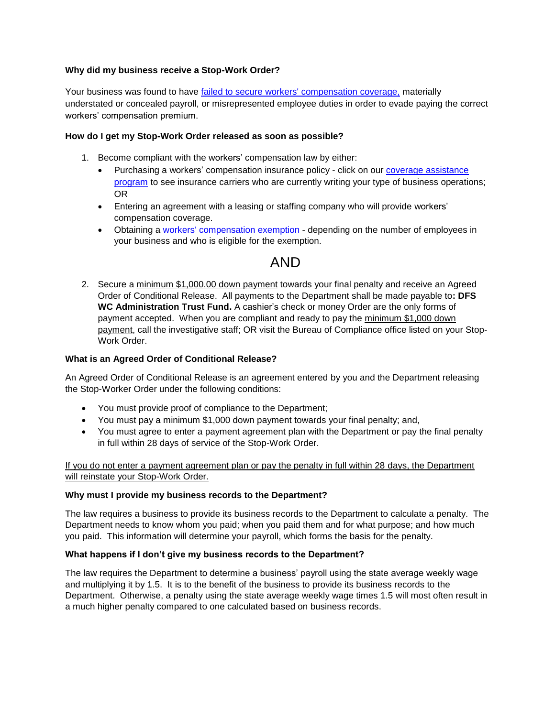# **Why did my business receive a Stop-Work Order?**

Your business was found to have [failed to secure workers' compensation coverage,](http://www.leg.state.fl.us/Statutes/index.cfm?App_mode=Display_Statute&Search_String=&URL=0400-0499/0440/Sections/0440.107.html) materially understated or concealed payroll, or misrepresented employee duties in order to evade paying the correct workers' compensation premium.

## **How do I get my Stop-Work Order released as soon as possible?**

- 1. Become compliant with the workers' compensation law by either:
	- Purchasing a workers' compensation insurance policy click on our [coverage assistance](https://minimarket.fldfs.com/)  [program](https://minimarket.fldfs.com/) to see insurance carriers who are currently writing your type of business operations; OR
	- Entering an agreement with a leasing or staffing company who will provide workers' compensation coverage.
	- Obtaining a [workers' compensation exemption](http://www.myfloridacfo.com/Division/wc/Employer/Exemptions/default.htm#.WcVSiGeWzX4) depending on the number of employees in your business and who is eligible for the exemption.

# AND

2. Secure a minimum \$1,000.00 down payment towards your final penalty and receive an Agreed Order of Conditional Release. All payments to the Department shall be made payable to**: DFS WC Administration Trust Fund.** A cashier's check or money Order are the only forms of payment accepted. When you are compliant and ready to pay the minimum \$1,000 down payment, call the investigative staff; OR visit the Bureau of Compliance office listed on your Stop-Work Order

## **What is an Agreed Order of Conditional Release?**

An Agreed Order of Conditional Release is an agreement entered by you and the Department releasing the Stop-Worker Order under the following conditions:

- You must provide proof of compliance to the Department;
- You must pay a minimum \$1,000 down payment towards your final penalty; and,
- You must agree to enter a payment agreement plan with the Department or pay the final penalty in full within 28 days of service of the Stop-Work Order.

If you do not enter a payment agreement plan or pay the penalty in full within 28 days, the Department will reinstate your Stop-Work Order.

# **Why must I provide my business records to the Department?**

The law requires a business to provide its business records to the Department to calculate a penalty. The Department needs to know whom you paid; when you paid them and for what purpose; and how much you paid. This information will determine your payroll, which forms the basis for the penalty.

#### **What happens if I don't give my business records to the Department?**

The law requires the Department to determine a business' payroll using the state average weekly wage and multiplying it by 1.5. It is to the benefit of the business to provide its business records to the Department. Otherwise, a penalty using the state average weekly wage times 1.5 will most often result in a much higher penalty compared to one calculated based on business records.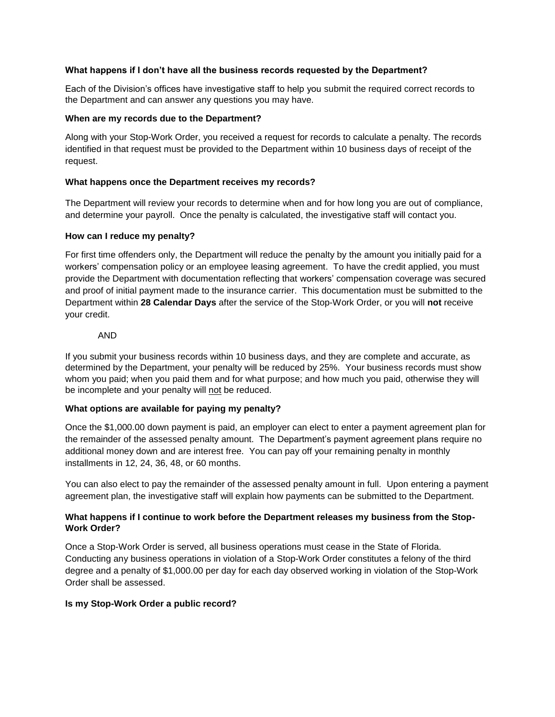## **What happens if I don't have all the business records requested by the Department?**

Each of the Division's offices have investigative staff to help you submit the required correct records to the Department and can answer any questions you may have.

#### **When are my records due to the Department?**

Along with your Stop-Work Order, you received a request for records to calculate a penalty. The records identified in that request must be provided to the Department within 10 business days of receipt of the request.

## **What happens once the Department receives my records?**

The Department will review your records to determine when and for how long you are out of compliance, and determine your payroll. Once the penalty is calculated, the investigative staff will contact you.

## **How can I reduce my penalty?**

For first time offenders only, the Department will reduce the penalty by the amount you initially paid for a workers' compensation policy or an employee leasing agreement. To have the credit applied, you must provide the Department with documentation reflecting that workers' compensation coverage was secured and proof of initial payment made to the insurance carrier. This documentation must be submitted to the Department within **28 Calendar Days** after the service of the Stop-Work Order, or you will **not** receive your credit.

## AND

If you submit your business records within 10 business days, and they are complete and accurate, as determined by the Department, your penalty will be reduced by 25%. Your business records must show whom you paid; when you paid them and for what purpose; and how much you paid, otherwise they will be incomplete and your penalty will not be reduced.

#### **What options are available for paying my penalty?**

Once the \$1,000.00 down payment is paid, an employer can elect to enter a payment agreement plan for the remainder of the assessed penalty amount. The Department's payment agreement plans require no additional money down and are interest free. You can pay off your remaining penalty in monthly installments in 12, 24, 36, 48, or 60 months.

You can also elect to pay the remainder of the assessed penalty amount in full. Upon entering a payment agreement plan, the investigative staff will explain how payments can be submitted to the Department.

# **What happens if I continue to work before the Department releases my business from the Stop-Work Order?**

Once a Stop-Work Order is served, all business operations must cease in the State of Florida. Conducting any business operations in violation of a Stop-Work Order constitutes a felony of the third degree and a penalty of \$1,000.00 per day for each day observed working in violation of the Stop-Work Order shall be assessed.

#### **Is my Stop-Work Order a public record?**